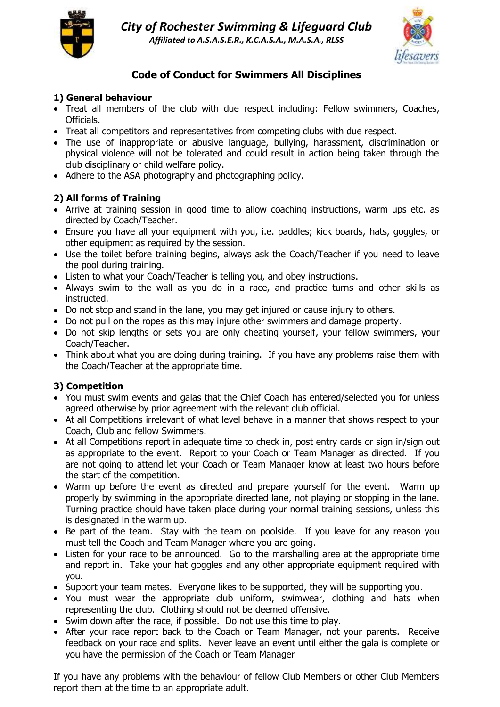

*City of Rochester Swimming & Lifeguard Club Affiliated to A.S.A.S.E.R., K.C.A.S.A., M.A.S.A., RLSS*



# **Code of Conduct for Swimmers All Disciplines**

#### **1) General behaviour**

- Treat all members of the club with due respect including: Fellow swimmers, Coaches, Officials.
- Treat all competitors and representatives from competing clubs with due respect.
- The use of inappropriate or abusive language, bullying, harassment, discrimination or physical violence will not be tolerated and could result in action being taken through the club disciplinary or child welfare policy.
- Adhere to the ASA photography and photographing policy.

### **2) All forms of Training**

- Arrive at training session in good time to allow coaching instructions, warm ups etc. as directed by Coach/Teacher.
- Ensure you have all your equipment with you, i.e. paddles; kick boards, hats, goggles, or other equipment as required by the session.
- Use the toilet before training begins, always ask the Coach/Teacher if you need to leave the pool during training.
- Listen to what your Coach/Teacher is telling you, and obey instructions.
- Always swim to the wall as you do in a race, and practice turns and other skills as instructed.
- Do not stop and stand in the lane, you may get injured or cause injury to others.
- Do not pull on the ropes as this may injure other swimmers and damage property.
- Do not skip lengths or sets you are only cheating yourself, your fellow swimmers, your Coach/Teacher.
- Think about what you are doing during training. If you have any problems raise them with the Coach/Teacher at the appropriate time.

#### **3) Competition**

- You must swim events and galas that the Chief Coach has entered/selected you for unless agreed otherwise by prior agreement with the relevant club official.
- At all Competitions irrelevant of what level behave in a manner that shows respect to your Coach, Club and fellow Swimmers.
- At all Competitions report in adequate time to check in, post entry cards or sign in/sign out as appropriate to the event. Report to your Coach or Team Manager as directed. If you are not going to attend let your Coach or Team Manager know at least two hours before the start of the competition.
- Warm up before the event as directed and prepare yourself for the event. Warm up properly by swimming in the appropriate directed lane, not playing or stopping in the lane. Turning practice should have taken place during your normal training sessions, unless this is designated in the warm up.
- Be part of the team. Stay with the team on poolside. If you leave for any reason you must tell the Coach and Team Manager where you are going.
- Listen for your race to be announced. Go to the marshalling area at the appropriate time and report in. Take your hat goggles and any other appropriate equipment required with you.
- Support your team mates. Everyone likes to be supported, they will be supporting you.
- You must wear the appropriate club uniform, swimwear, clothing and hats when representing the club. Clothing should not be deemed offensive.
- Swim down after the race, if possible. Do not use this time to play.
- After your race report back to the Coach or Team Manager, not your parents. Receive feedback on your race and splits. Never leave an event until either the gala is complete or you have the permission of the Coach or Team Manager

If you have any problems with the behaviour of fellow Club Members or other Club Members report them at the time to an appropriate adult.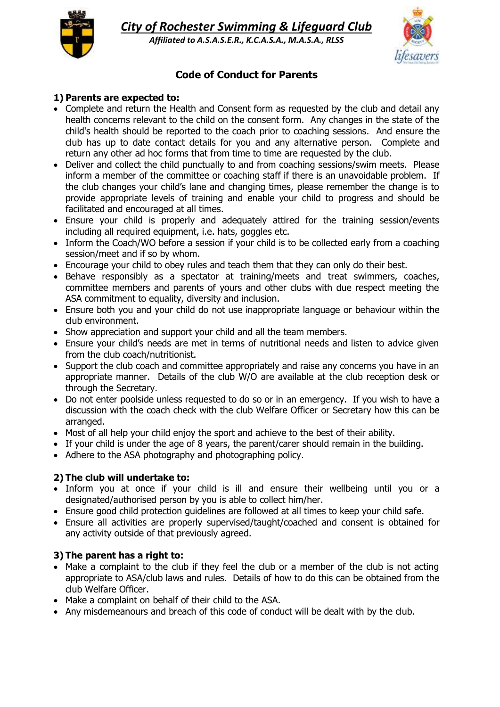



# **Code of Conduct for Parents**

#### **1) Parents are expected to:**

- Complete and return the Health and Consent form as requested by the club and detail any health concerns relevant to the child on the consent form. Any changes in the state of the child's health should be reported to the coach prior to coaching sessions. And ensure the club has up to date contact details for you and any alternative person. Complete and return any other ad hoc forms that from time to time are requested by the club.
- Deliver and collect the child punctually to and from coaching sessions/swim meets. Please inform a member of the committee or coaching staff if there is an unavoidable problem. If the club changes your child's lane and changing times, please remember the change is to provide appropriate levels of training and enable your child to progress and should be facilitated and encouraged at all times.
- Ensure your child is properly and adequately attired for the training session/events including all required equipment, i.e. hats, goggles etc.
- Inform the Coach/WO before a session if your child is to be collected early from a coaching session/meet and if so by whom.
- Encourage your child to obey rules and teach them that they can only do their best.
- Behave responsibly as a spectator at training/meets and treat swimmers, coaches, committee members and parents of yours and other clubs with due respect meeting the ASA commitment to equality, diversity and inclusion.
- Ensure both you and your child do not use inappropriate language or behaviour within the club environment.
- Show appreciation and support your child and all the team members.
- Ensure your child's needs are met in terms of nutritional needs and listen to advice given from the club coach/nutritionist.
- Support the club coach and committee appropriately and raise any concerns you have in an appropriate manner. Details of the club W/O are available at the club reception desk or through the Secretary.
- Do not enter poolside unless requested to do so or in an emergency. If you wish to have a discussion with the coach check with the club Welfare Officer or Secretary how this can be arranged.
- Most of all help your child enjoy the sport and achieve to the best of their ability.
- If your child is under the age of 8 years, the parent/carer should remain in the building.
- Adhere to the ASA photography and photographing policy.

#### **2) The club will undertake to:**

- Inform you at once if your child is ill and ensure their wellbeing until you or a designated/authorised person by you is able to collect him/her.
- Ensure good child protection guidelines are followed at all times to keep your child safe.
- Ensure all activities are properly supervised/taught/coached and consent is obtained for any activity outside of that previously agreed.

#### **3) The parent has a right to:**

- Make a complaint to the club if they feel the club or a member of the club is not acting appropriate to ASA/club laws and rules. Details of how to do this can be obtained from the club Welfare Officer.
- Make a complaint on behalf of their child to the ASA.
- Any misdemeanours and breach of this code of conduct will be dealt with by the club.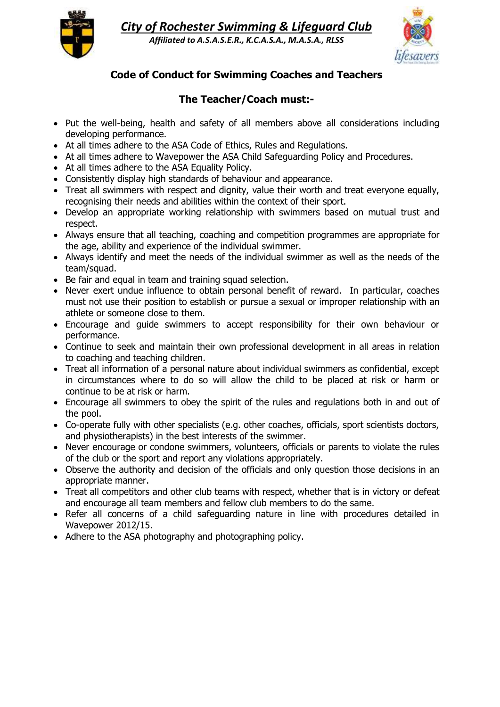

*City of Rochester Swimming & Lifeguard Club*

*Affiliated to A.S.A.S.E.R., K.C.A.S.A., M.A.S.A., RLSS*



## **Code of Conduct for Swimming Coaches and Teachers**

## **The Teacher/Coach must:-**

- Put the well-being, health and safety of all members above all considerations including developing performance.
- At all times adhere to the ASA Code of Ethics, Rules and Regulations.
- At all times adhere to Wavepower the ASA Child Safeguarding Policy and Procedures.
- At all times adhere to the ASA Equality Policy.
- Consistently display high standards of behaviour and appearance.
- Treat all swimmers with respect and dignity, value their worth and treat everyone equally, recognising their needs and abilities within the context of their sport.
- Develop an appropriate working relationship with swimmers based on mutual trust and respect.
- Always ensure that all teaching, coaching and competition programmes are appropriate for the age, ability and experience of the individual swimmer.
- Always identify and meet the needs of the individual swimmer as well as the needs of the team/squad.
- Be fair and equal in team and training squad selection.
- Never exert undue influence to obtain personal benefit of reward. In particular, coaches must not use their position to establish or pursue a sexual or improper relationship with an athlete or someone close to them.
- Encourage and guide swimmers to accept responsibility for their own behaviour or performance.
- Continue to seek and maintain their own professional development in all areas in relation to coaching and teaching children.
- Treat all information of a personal nature about individual swimmers as confidential, except in circumstances where to do so will allow the child to be placed at risk or harm or continue to be at risk or harm.
- Encourage all swimmers to obey the spirit of the rules and regulations both in and out of the pool.
- Co-operate fully with other specialists (e.g. other coaches, officials, sport scientists doctors, and physiotherapists) in the best interests of the swimmer.
- Never encourage or condone swimmers, volunteers, officials or parents to violate the rules of the club or the sport and report any violations appropriately.
- Observe the authority and decision of the officials and only question those decisions in an appropriate manner.
- Treat all competitors and other club teams with respect, whether that is in victory or defeat and encourage all team members and fellow club members to do the same.
- Refer all concerns of a child safeguarding nature in line with procedures detailed in Wavepower 2012/15.
- Adhere to the ASA photography and photographing policy.